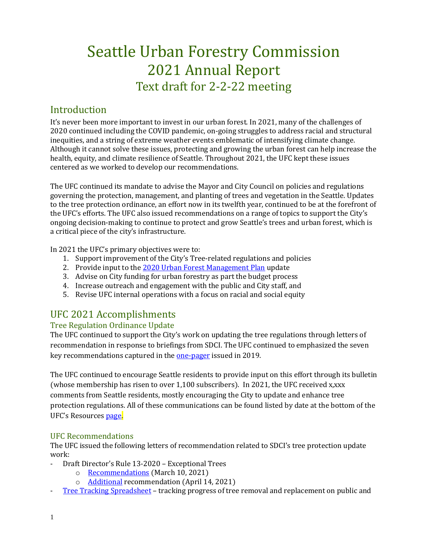# Seattle Urban Forestry Commission 2021 Annual Report Text draft for 2-2-22 meeting

## Introduction

It's never been more important to invest in our urban forest. In 2021, many of the challenges of 2020 continued including the COVID pandemic, on-going struggles to address racial and structural inequities, and a string of extreme weather events emblematic of intensifying climate change. Although it cannot solve these issues, protecting and growing the urban forest can help increase the health, equity, and climate resilience of Seattle. Throughout 2021, the UFC kept these issues centered as we worked to develop our recommendations.

The UFC continued its mandate to advise the Mayor and City Council on policies and regulations governing the protection, management, and planting of trees and vegetation in the Seattle. Updates to the tree protection ordinance, an effort now in its twelfth year, continued to be at the forefront of the UFC's efforts. The UFC also issued recommendations on a range of topics to support the City's ongoing decision-making to continue to protect and grow Seattle's trees and urban forest, which is a critical piece of the city's infrastructure.

In 2021 the UFC's primary objectives were to:

- 1. Support improvement of the City's Tree-related regulations and policies
- 2. Provide input to the [2020 Urban Forest Management Plan](http://www.seattle.gov/trees/management) update
- 3. Advise on City funding for urban forestry as part the budget process
- 4. Increase outreach and engagement with the public and City staff, and
- 5. Revise UFC internal operations with a focus on racial and social equity

# UFC 2021 Accomplishments

## Tree Regulation Ordinance Update

The UFC continued to support the City's work on updating the tree regulations through letters of recommendation in response to briefings from SDCI. The UFC continued to emphasized the seven key recommendations captured in the [one-pager](http://www.seattle.gov/Documents/Departments/UrbanForestryCommission/Resources/ADOPTEDTPOUpdateOnePager100919.pdf) issued in 2019.

The UFC continued to encourage Seattle residents to provide input on this effort through its bulletin (whose membership has risen to over 1,100 subscribers). In 2021, the UFC received x,xxx comments from Seattle residents, mostly encouraging the City to update and enhance tree protection regulations. All of these communications can be found listed by date at the bottom of the UFC's Resources [page.](http://www.seattle.gov/urbanforestrycommission/resources)

## UFC Recommendations

The UFC issued the following letters of recommendation related to SDCI's tree protection update work:

- Draft Director's Rule 13-2020 Exceptional Trees
	- o [Recommendations](https://www.seattle.gov/Documents/Departments/UrbanForestryCommission/FinalIssuedDocuments/WhatWeDo-Recomms/ADOPTEDDR13-2020recommendation031021.pdf) (March 10, 2021)
	- o [Additional](https://www.seattle.gov/Documents/Departments/UrbanForestryCommission/FinalIssuedDocuments/WhatWeDo-Recomms/ADOPTEDDR13-2020recommendation041421.pdf) recommendation (April 14, 2021)
- [Tree Tracking Spreadsheet](https://www.seattle.gov/Documents/Departments/UrbanForestryCommission/FinalIssuedDocuments/WhatWeDo-Recomms/ADOPTEDTreeTrackingLetter051221.pdf) tracking progress of tree removal and replacement on public and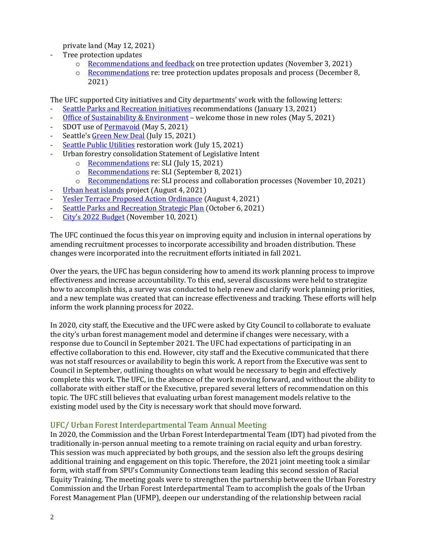private land (May 12, 2021)

- Tree protection updates
	- o [Recommendations and feedback](https://www.seattle.gov/Documents/Departments/UrbanForestryCommission/2021/2021docs/ADOPTEDSDCIFeedbackLetter110321.pdf) on tree protection updates (November 3, 2021)
	- $\circ$  [Recommendations](https://www.seattle.gov/Documents/Departments/UrbanForestryCommission/2021/2021docs/ADOPTEDTreeOrdinanceUpdateLetter120821.pdf) re: tree protection updates proposals and process (December 8, 2021)

The UFC supported City initiatives and City departments' work with the following letters:

- [Seattle Parks and Recreation initiatives](https://www.seattle.gov/Documents/Departments/UrbanForestryCommission/FinalIssuedDocuments/WhatWeDo-Recomms/ADOPTEDSPRupdateThankYou011321.pdf) recommendations (January 13, 2021)
- [Office of Sustainability & Environment](https://www.seattle.gov/Documents/Departments/UrbanForestryCommission/FinalIssuedDocuments/WhatWeDo-Recomms/ADOPTEDOSEContrats050521.pdf) welcome those in new roles (May 5, 2021)
- SDOT use of [Permavoid](https://www.seattle.gov/Documents/Departments/UrbanForestryCommission/FinalIssuedDocuments/WhatWeDo-Recomms/ADOPTED-SDOTnPermavoid050521.pdf) (May 5, 2021)
- Seattle'[s Green New Deal](https://www.seattle.gov/Documents/Departments/UrbanForestryCommission/2021/2021docs/ADOPTEDGNDThankYouLetter071521.pdf) (July 15, 2021)
- [Seattle Public Utilities](https://www.seattle.gov/Documents/Departments/UrbanForestryCommission/2021/2021docs/ADOPTEDSPUThankYouLetter071521.pdf) restoration work (July 15, 2021)
- Urban forestry consolidation Statement of Legislative Intent
	- o [Recommendations](https://www.seattle.gov/Documents/Departments/UrbanForestryCommission/2021/2021docs/ADOPTEDSLILetter071521.pdf) re: SLI (July 15, 2021)
	- o [Recommendations](https://www.seattle.gov/Documents/Departments/UrbanForestryCommission/2021/2021docs/ADOPTEDSLILetter090821.pdf) re: SLI (September 8, 2021)
	- o [Recommendations](https://www.seattle.gov/Documents/Departments/UrbanForestryCommission/2021/2021docs/ADOPTEDSLILetter111021.pdf) re: SLI process and collaboration processes (November 10, 2021)
- [Urban heat islands](https://www.seattle.gov/Documents/Departments/UrbanForestryCommission/2021/2021docs/ADOPTEDHeatIslandsLetter080421.pdf) project (August 4, 2021)
- [Yesler Terrace Proposed Action Ordinance](https://www.seattle.gov/Documents/Departments/UrbanForestryCommission/2021/2021docs/ADOPTEDYeslerTerraceLetter080421.pdf) (August 4, 2021)
- [Seattle Parks and Recreation Strategic Plan](https://www.seattle.gov/Documents/Departments/UrbanForestryCommission/2021/2021docs/ADOPTEDSPRFeedbackLetter100621.pdf) (October 6, 2021)
- [City's 2022 Budget](https://www.seattle.gov/Documents/Departments/UrbanForestryCommission/2021/2021docs/ADOPTEDBudgetLetter111021.pdf) (November 10, 2021)

The UFC continued the focus this year on improving equity and inclusion in internal operations by amending recruitment processes to incorporate accessibility and broaden distribution. These changes were incorporated into the recruitment efforts initiated in fall 2021.

Over the years, the UFC has begun considering how to amend its work planning process to improve effectiveness and increase accountability. To this end, several discussions were held to strategize how to accomplish this, a survey was conducted to help renew and clarify work planning priorities, and a new template was created that can increase effectiveness and tracking. These efforts will help inform the work planning process for 2022.

In 2020, city staff, the Executive and the UFC were asked by City Council to collaborate to evaluate the city's urban forest management model and determine if changes were necessary, with a response due to Council in September 2021. The UFC had expectations of participating in an effective collaboration to this end. However, city staff and the Executive communicated that there was not staff resources or availability to begin this work. A report from the Executive was sent to Council in September, outlining thoughts on what would be necessary to begin and effectively complete this work. The UFC, in the absence of the work moving forward, and without the ability to collaborate with either staff or the Executive, prepared several letters of recommendation on this topic. The UFC still believes that evaluating urban forest management models relative to the existing model used by the City is necessary work that should move forward.

#### UFC/ Urban Forest Interdepartmental Team Annual Meeting

In 2020, the Commission and the Urban Forest Interdepartmental Team (IDT) had pivoted from the traditionally in-person annual meeting to a remote training on racial equity and urban forestry. This session was much appreciated by both groups, and the session also left the groups desiring additional training and engagement on this topic. Therefore, the 2021 joint meeting took a similar form, with staff from SPU's Community Connections team leading this second session of Racial Equity Training. The meeting goals were to strengthen the partnership between the Urban Forestry Commission and the Urban Forest Interdepartmental Team to accomplish the goals of the Urban Forest Management Plan (UFMP), deepen our understanding of the relationship between racial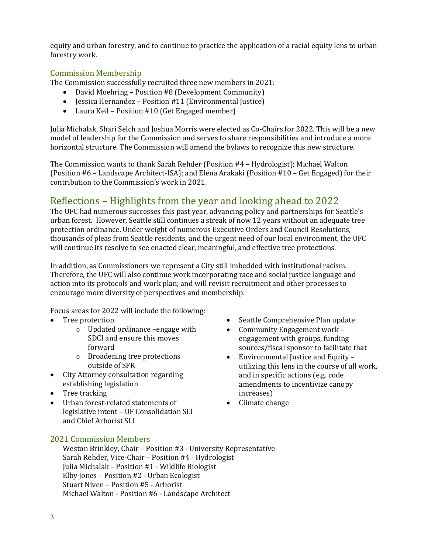equity and urban forestry, and to continue to practice the application of a racial equity lens to urban forestry work.

#### Commission Membership

The Commission successfully recruited three new members in 2021:

- David Moehring Position #8 (Development Community)
- **Jessica Hernandez** Position #11 (Environmental Justice)
- Laura Keil Position #10 (Get Engaged member)

Julia Michalak, Shari Selch and Joshua Morris were elected as Co-Chairs for 2022. This will be a new model of leadership for the Commission and serves to share responsibilities and introduce a more horizontal structure. The Commission will amend the bylaws to recognize this new structure.

The Commission wants to thank Sarah Rehder (Position #4 – Hydrologist); Michael Walton (Position #6 – Landscape Architect-ISA); and Elena Arakaki (Position #10 – Get Engaged) for their contribution to the Commission's work in 2021.

## Reflections – Highlights from the year and looking ahead to 2022

The UFC had numerous successes this past year, advancing policy and partnerships for Seattle's urban forest. However, Seattle still continues a streak of now 12 years without an adequate tree protection ordinance. Under weight of numerous Executive Orders and Council Resolutions, thousands of pleas from Seattle residents, and the urgent need of our local environment, the UFC will continue its resolve to see enacted clear, meaningful, and effective tree protections.

In addition, as Commissioners we represent a City still imbedded with institutional racism. Therefore, the UFC will also continue work incorporating race and social justice language and action into its protocols and work plan; and will revisit recruitment and other processes to encourage more diversity of perspectives and membership.

Focus areas for 2022 will include the following:

- Tree protection
	- o Updated ordinance –engage with SDCI and ensure this moves forward
	- o Broadening tree protections outside of SFR
- City Attorney consultation regarding establishing legislation
- Tree tracking
- Urban forest-related statements of legislative intent – UF Consolidation SLI and Chief Arborist SLI
- Seattle Comprehensive Plan update
- Community Engagement work engagement with groups, funding sources/fiscal sponsor to facilitate that
- Environmental Justice and Equity utilizing this lens in the course of all work, and in specific actions (e.g. code amendments to incentivize canopy increases)
- Climate change

#### 2021 Commission Members

Weston Brinkley, Chair – Position #3 - University Representative Sarah Rehder, Vice-Chair – Position #4 - Hydrologist Julia Michalak – Position #1 - Wildlife Biologist Elby Jones – Position #2 - Urban Ecologist Stuart Niven – Position #5 - Arborist Michael Walton - Position #6 - Landscape Architect